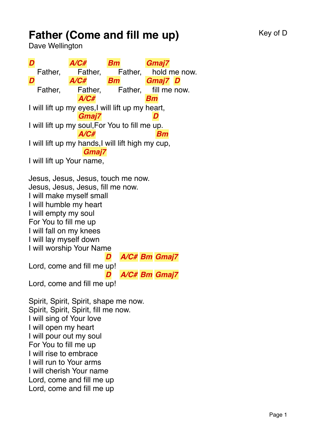## **Father (Come and fill me up)** Key of D

Dave Wellington

*D* Father, *A/C#* Father, *Bm* Father, *Gmaj7* hold me now. *D* Father, *A/C#* Father, *Bm* Father, *Gmaj7 D* fill me now. I will lift up my eyes,I will lift up my heart, *A/C# Bm* I will lift up my soul, For You to fill me up. *Gmaj7 D* I will lift up my hands,I will lift high my cup, *A/C# Bm* I will lift up Your name, *Gmaj7* Jesus, Jesus, Jesus, touch me now. Jesus, Jesus, Jesus, fill me now. I will make myself small I will humble my heart I will empty my soul For You to fill me up I will fall on my knees I will lay myself down I will worship Your Name Lord, come and fill me up! *D A/C# Bm Gmaj7* Lord, come and fill me up! *D A/C# Bm Gmaj7* Spirit, Spirit, Spirit, shape me now. Spirit, Spirit, Spirit, fill me now. I will sing of Your love I will open my heart I will pour out my soul For You to fill me up I will rise to embrace I will run to Your arms I will cherish Your name Lord, come and fill me up Lord, come and fill me up